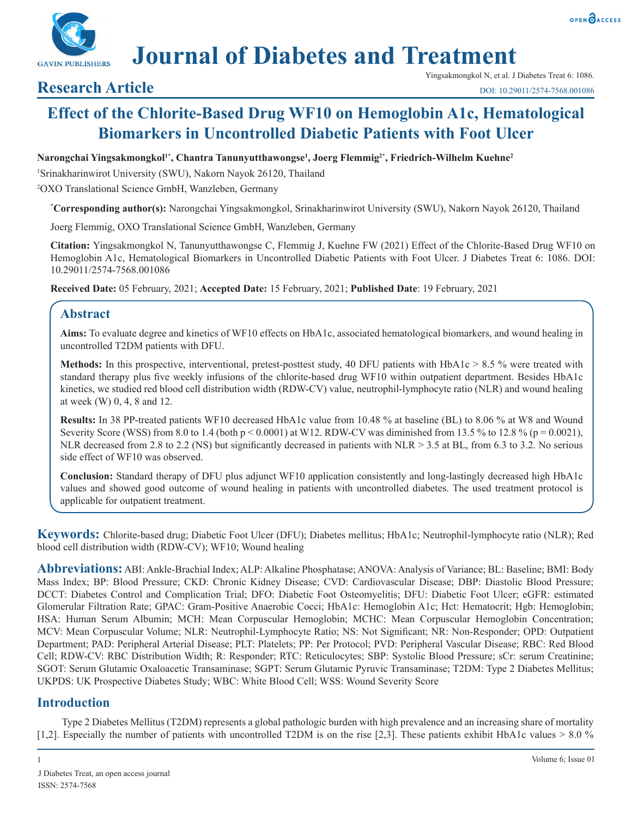



# **Journal of Diabetes and Treatment**

## **Research Article**

# **Effect of the Chlorite-Based Drug WF10 on Hemoglobin A1c, Hematological Biomarkers in Uncontrolled Diabetic Patients with Foot Ulcer**

**Narongchai Yingsakmongkol1\*, Chantra Tanunyutthawongse1 , Joerg Flemmig2\*, Friedrich-Wilhelm Kuehne2**

1 Srinakharinwirot University (SWU), Nakorn Nayok 26120, Thailand

2 OXO Translational Science GmbH, Wanzleben, Germany

**\* Corresponding author(s):** Narongchai Yingsakmongkol, Srinakharinwirot University (SWU), Nakorn Nayok 26120, Thailand

Joerg Flemmig, OXO Translational Science GmbH, Wanzleben, Germany

**Citation:** Yingsakmongkol N, Tanunyutthawongse C, Flemmig J, Kuehne FW (2021) Effect of the Chlorite-Based Drug WF10 on Hemoglobin A1c, Hematological Biomarkers in Uncontrolled Diabetic Patients with Foot Ulcer. J Diabetes Treat 6: 1086. DOI: 10.29011/2574-7568.001086

**Received Date:** 05 February, 2021; **Accepted Date:** 15 February, 2021; **Published Date**: 19 February, 2021

### **Abstract**

**Aims:** To evaluate degree and kinetics of WF10 effects on HbA1c, associated hematological biomarkers, and wound healing in uncontrolled T2DM patients with DFU.

**Methods:** In this prospective, interventional, pretest-posttest study, 40 DFU patients with HbA1c > 8.5 % were treated with standard therapy plus five weekly infusions of the chlorite-based drug WF10 within outpatient department. Besides HbA1c kinetics, we studied red blood cell distribution width (RDW-CV) value, neutrophil-lymphocyte ratio (NLR) and wound healing at week (W) 0, 4, 8 and 12.

**Results:** In 38 PP-treated patients WF10 decreased HbA1c value from 10.48 % at baseline (BL) to 8.06 % at W8 and Wound Severity Score (WSS) from 8.0 to 1.4 (both  $p < 0.0001$ ) at W12. RDW-CV was diminished from 13.5 % to 12.8 % ( $p = 0.0021$ ), NLR decreased from 2.8 to 2.2 (NS) but significantly decreased in patients with NLR > 3.5 at BL, from 6.3 to 3.2. No serious side effect of WF10 was observed.

**Conclusion:** Standard therapy of DFU plus adjunct WF10 application consistently and long-lastingly decreased high HbA1c values and showed good outcome of wound healing in patients with uncontrolled diabetes. The used treatment protocol is applicable for outpatient treatment.

**Keywords:** Chlorite-based drug; Diabetic Foot Ulcer (DFU); Diabetes mellitus; HbA1c; Neutrophil-lymphocyte ratio (NLR); Red blood cell distribution width (RDW-CV); WF10; Wound healing

**Abbreviations:** ABI: Ankle-Brachial Index; ALP: Alkaline Phosphatase; ANOVA: Analysis of Variance; BL: Baseline; BMI: Body Mass Index; BP: Blood Pressure; CKD: Chronic Kidney Disease; CVD: Cardiovascular Disease; DBP: Diastolic Blood Pressure; DCCT: Diabetes Control and Complication Trial; DFO: Diabetic Foot Osteomyelitis; DFU: Diabetic Foot Ulcer; eGFR: estimated Glomerular Filtration Rate; GPAC: Gram-Positive Anaerobic Cocci; HbA1c: Hemoglobin A1c; Hct: Hematocrit; Hgb: Hemoglobin; HSA: Human Serum Albumin; MCH: Mean Corpuscular Hemoglobin; MCHC: Mean Corpuscular Hemoglobin Concentration; MCV: Mean Corpuscular Volume; NLR: Neutrophil-Lymphocyte Ratio; NS: Not Significant; NR: Non-Responder; OPD: Outpatient Department; PAD: Peripheral Arterial Disease; PLT: Platelets; PP: Per Protocol; PVD: Peripheral Vascular Disease; RBC: Red Blood Cell; RDW-CV: RBC Distribution Width; R: Responder; RTC: Reticulocytes; SBP: Systolic Blood Pressure; sCr: serum Creatinine; SGOT: Serum Glutamic Oxaloacetic Transaminase; SGPT: Serum Glutamic Pyruvic Transaminase; T2DM: Type 2 Diabetes Mellitus; UKPDS: UK Prospective Diabetes Study; WBC: White Blood Cell; WSS: Wound Severity Score

### **Introduction**

Type 2 Diabetes Mellitus (T2DM) represents a global pathologic burden with high prevalence and an increasing share of mortality [1,2]. Especially the number of patients with uncontrolled T2DM is on the rise [2,3]. These patients exhibit HbA1c values > 8.0 %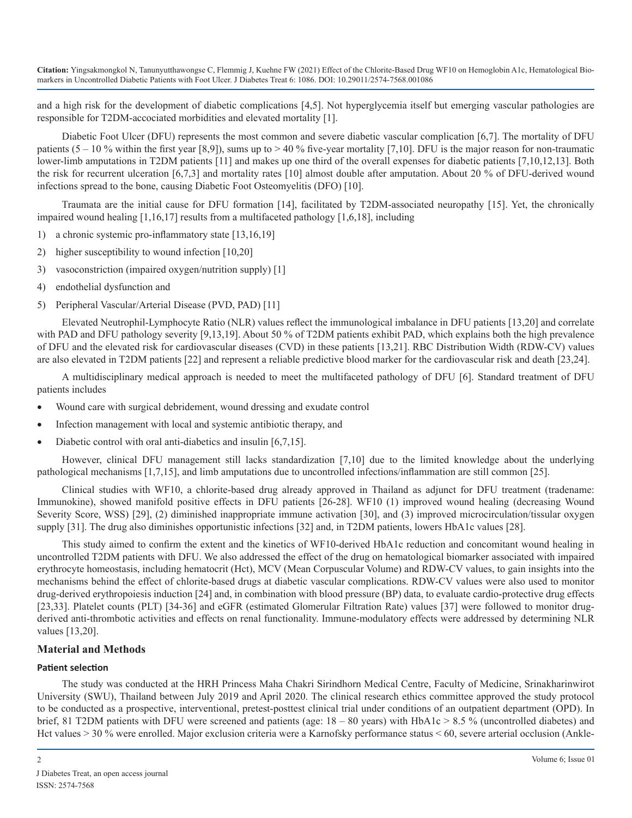and a high risk for the development of diabetic complications [4,5]. Not hyperglycemia itself but emerging vascular pathologies are responsible for T2DM-accociated morbidities and elevated mortality [1].

Diabetic Foot Ulcer (DFU) represents the most common and severe diabetic vascular complication [6,7]. The mortality of DFU patients  $(5 - 10\%$  within the first year [8,9]), sums up to  $> 40\%$  five-year mortality [7,10]. DFU is the major reason for non-traumatic lower-limb amputations in T2DM patients [11] and makes up one third of the overall expenses for diabetic patients [7,10,12,13]. Both the risk for recurrent ulceration [6,7,3] and mortality rates [10] almost double after amputation. About 20 % of DFU-derived wound infections spread to the bone, causing Diabetic Foot Osteomyelitis (DFO) [10].

Traumata are the initial cause for DFU formation [14], facilitated by T2DM-associated neuropathy [15]. Yet, the chronically impaired wound healing [1,16,17] results from a multifaceted pathology [1,6,18], including

- 1) a chronic systemic pro-inflammatory state [13,16,19]
- 2) higher susceptibility to wound infection [10,20]
- 3) vasoconstriction (impaired oxygen/nutrition supply) [1]
- 4) endothelial dysfunction and
- 5) Peripheral Vascular/Arterial Disease (PVD, PAD) [11]

Elevated Neutrophil-Lymphocyte Ratio (NLR) values reflect the immunological imbalance in DFU patients [13,20] and correlate with PAD and DFU pathology severity [9,13,19]. About 50 % of T2DM patients exhibit PAD, which explains both the high prevalence of DFU and the elevated risk for cardiovascular diseases (CVD) in these patients [13,21]. RBC Distribution Width (RDW-CV) values are also elevated in T2DM patients [22] and represent a reliable predictive blood marker for the cardiovascular risk and death [23,24].

A multidisciplinary medical approach is needed to meet the multifaceted pathology of DFU [6]. Standard treatment of DFU patients includes

- Wound care with surgical debridement, wound dressing and exudate control
- Infection management with local and systemic antibiotic therapy, and
- Diabetic control with oral anti-diabetics and insulin [6,7,15].

However, clinical DFU management still lacks standardization [7,10] due to the limited knowledge about the underlying pathological mechanisms [1,7,15], and limb amputations due to uncontrolled infections/inflammation are still common [25].

Clinical studies with WF10, a chlorite-based drug already approved in Thailand as adjunct for DFU treatment (tradename: Immunokine), showed manifold positive effects in DFU patients [26-28]. WF10 (1) improved wound healing (decreasing Wound Severity Score, WSS) [29], (2) diminished inappropriate immune activation [30], and (3) improved microcirculation/tissular oxygen supply [31]. The drug also diminishes opportunistic infections [32] and, in T2DM patients, lowers HbA1c values [28].

This study aimed to confirm the extent and the kinetics of WF10-derived HbA1c reduction and concomitant wound healing in uncontrolled T2DM patients with DFU. We also addressed the effect of the drug on hematological biomarker associated with impaired erythrocyte homeostasis, including hematocrit (Hct), MCV (Mean Corpuscular Volume) and RDW-CV values, to gain insights into the mechanisms behind the effect of chlorite-based drugs at diabetic vascular complications. RDW-CV values were also used to monitor drug-derived erythropoiesis induction [24] and, in combination with blood pressure (BP) data, to evaluate cardio-protective drug effects [23,33]. Platelet counts (PLT) [34-36] and eGFR (estimated Glomerular Filtration Rate) values [37] were followed to monitor drugderived anti-thrombotic activities and effects on renal functionality. Immune-modulatory effects were addressed by determining NLR values [13,20].

#### **Material and Methods**

#### **Patient selection**

The study was conducted at the HRH Princess Maha Chakri Sirindhorn Medical Centre, Faculty of Medicine, Srinakharinwirot University (SWU), Thailand between July 2019 and April 2020. The clinical research ethics committee approved the study protocol to be conducted as a prospective, interventional, pretest-posttest clinical trial under conditions of an outpatient department (OPD). In brief, 81 T2DM patients with DFU were screened and patients (age:  $18 - 80$  years) with HbA1c  $> 8.5$  % (uncontrolled diabetes) and Hct values > 30 % were enrolled. Major exclusion criteria were a Karnofsky performance status < 60, severe arterial occlusion (Ankle-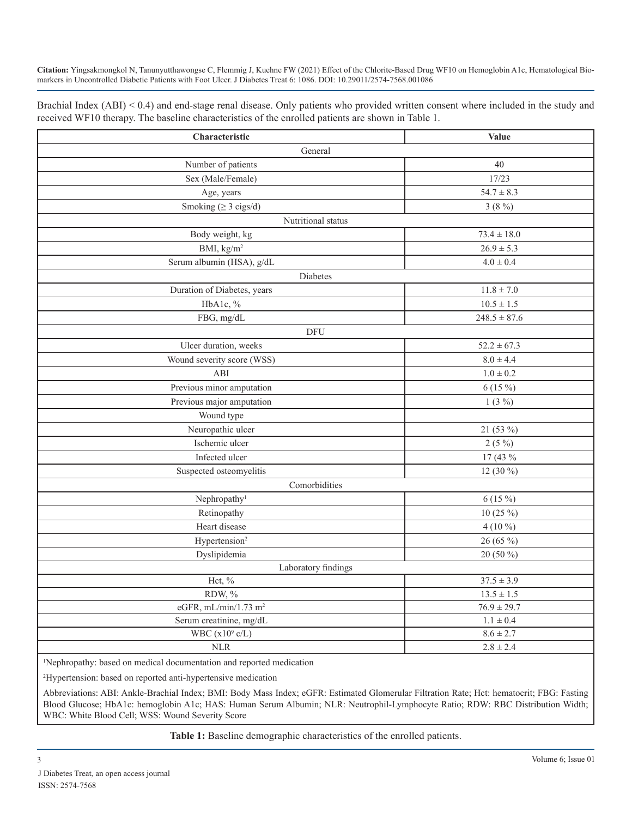Brachial Index (ABI) < 0.4) and end-stage renal disease. Only patients who provided written consent where included in the study and received WF10 therapy. The baseline characteristics of the enrolled patients are shown in Table 1.

| Characteristic                   | <b>Value</b>     |  |  |
|----------------------------------|------------------|--|--|
| General                          |                  |  |  |
| Number of patients               | 40               |  |  |
| Sex (Male/Female)                | 17/23            |  |  |
| Age, years                       | $54.7 \pm 8.3$   |  |  |
| Smoking ( $\geq$ 3 cigs/d)       | 3(8%)            |  |  |
| Nutritional status               |                  |  |  |
| Body weight, kg                  | $73.4 \pm 18.0$  |  |  |
| BMI, $kg/m2$                     | $26.9 \pm 5.3$   |  |  |
| Serum albumin (HSA), g/dL        | $4.0 \pm 0.4$    |  |  |
| Diabetes                         |                  |  |  |
| Duration of Diabetes, years      | $11.8\pm7.0$     |  |  |
| HbA1c, %                         | $10.5 \pm 1.5$   |  |  |
| FBG, mg/dL                       | $248.5 \pm 87.6$ |  |  |
| <b>DFU</b>                       |                  |  |  |
| Ulcer duration, weeks            | $52.2 \pm 67.3$  |  |  |
| Wound severity score (WSS)       | $8.0 \pm 4.4$    |  |  |
| ABI                              | $1.0 \pm 0.2$    |  |  |
| Previous minor amputation        | $6(15\%)$        |  |  |
| Previous major amputation        | $1(3\%)$         |  |  |
| Wound type                       |                  |  |  |
| Neuropathic ulcer                | 21 (53 %)        |  |  |
| Ischemic ulcer                   | $2(5\%)$         |  |  |
| Infected ulcer                   | 17 (43 %         |  |  |
| Suspected osteomyelitis          | 12 $(30\%)$      |  |  |
| Comorbidities                    |                  |  |  |
| Nephropathy <sup>1</sup>         | $6(15\%)$        |  |  |
| Retinopathy                      | $10(25\%)$       |  |  |
| Heart disease                    | $4(10\%)$        |  |  |
| Hypertension <sup>2</sup>        | 26 (65 %)        |  |  |
| Dyslipidemia                     | 20 (50 %)        |  |  |
| Laboratory findings              |                  |  |  |
| Hct, %                           | $37.5 \pm 3.9$   |  |  |
| RDW, %                           | $13.5 \pm 1.5$   |  |  |
| eGFR, mL/min/1.73 m <sup>2</sup> | $76.9 \pm 29.7$  |  |  |
| Serum creatinine, mg/dL          | $1.1 \pm 0.4$    |  |  |
| WBC $(x10^9 \text{ c/L})$        | $8.6 \pm 2.7$    |  |  |
| $\rm NLR$                        | $2.8 \pm 2.4$    |  |  |

1 Nephropathy: based on medical documentation and reported medication

2 Hypertension: based on reported anti-hypertensive medication

Abbreviations: ABI: Ankle-Brachial Index; BMI: Body Mass Index; eGFR: Estimated Glomerular Filtration Rate; Hct: hematocrit; FBG: Fasting Blood Glucose; HbA1c: hemoglobin A1c; HAS: Human Serum Albumin; NLR: Neutrophil-Lymphocyte Ratio; RDW: RBC Distribution Width; WBC: White Blood Cell; WSS: Wound Severity Score

**Table 1:** Baseline demographic characteristics of the enrolled patients.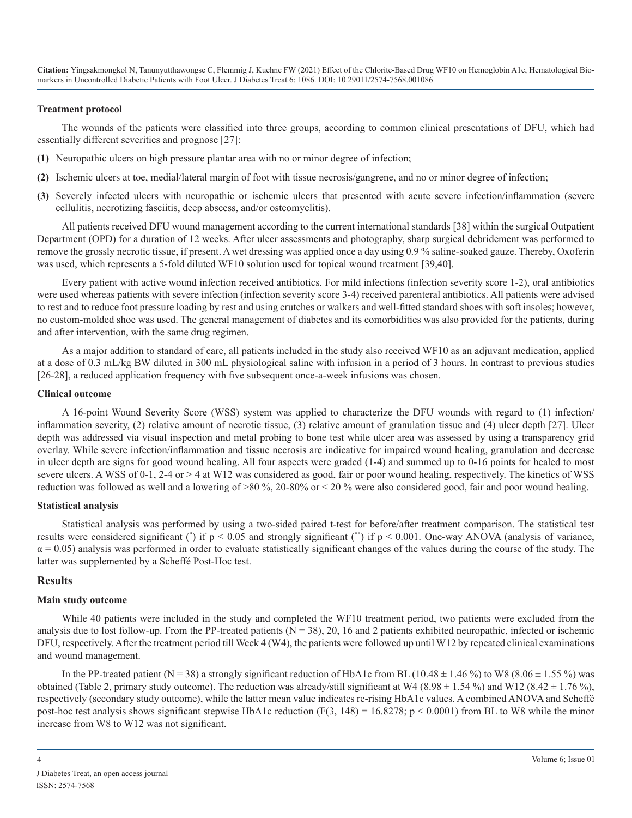#### **Treatment protocol**

The wounds of the patients were classified into three groups, according to common clinical presentations of DFU, which had essentially different severities and prognose [27]:

- **(1)** Neuropathic ulcers on high pressure plantar area with no or minor degree of infection;
- **(2)** Ischemic ulcers at toe, medial/lateral margin of foot with tissue necrosis/gangrene, and no or minor degree of infection;
- **(3)** Severely infected ulcers with neuropathic or ischemic ulcers that presented with acute severe infection/inflammation (severe cellulitis, necrotizing fasciitis, deep abscess, and/or osteomyelitis).

All patients received DFU wound management according to the current international standards [38] within the surgical Outpatient Department (OPD) for a duration of 12 weeks. After ulcer assessments and photography, sharp surgical debridement was performed to remove the grossly necrotic tissue, if present. A wet dressing was applied once a day using 0.9 % saline-soaked gauze. Thereby, Oxoferin was used, which represents a 5-fold diluted WF10 solution used for topical wound treatment [39,40].

Every patient with active wound infection received antibiotics. For mild infections (infection severity score 1-2), oral antibiotics were used whereas patients with severe infection (infection severity score 3-4) received parenteral antibiotics. All patients were advised to rest and to reduce foot pressure loading by rest and using crutches or walkers and well-fitted standard shoes with soft insoles; however, no custom-molded shoe was used. The general management of diabetes and its comorbidities was also provided for the patients, during and after intervention, with the same drug regimen.

As a major addition to standard of care, all patients included in the study also received WF10 as an adjuvant medication, applied at a dose of 0.3 mL/kg BW diluted in 300 mL physiological saline with infusion in a period of 3 hours. In contrast to previous studies [26-28], a reduced application frequency with five subsequent once-a-week infusions was chosen.

#### **Clinical outcome**

A 16-point Wound Severity Score (WSS) system was applied to characterize the DFU wounds with regard to (1) infection/ inflammation severity, (2) relative amount of necrotic tissue, (3) relative amount of granulation tissue and (4) ulcer depth [27]. Ulcer depth was addressed via visual inspection and metal probing to bone test while ulcer area was assessed by using a transparency grid overlay. While severe infection/inflammation and tissue necrosis are indicative for impaired wound healing, granulation and decrease in ulcer depth are signs for good wound healing. All four aspects were graded (1-4) and summed up to 0-16 points for healed to most severe ulcers. A WSS of 0-1, 2-4 or > 4 at W12 was considered as good, fair or poor wound healing, respectively. The kinetics of WSS reduction was followed as well and a lowering of >80 %, 20-80% or < 20 % were also considered good, fair and poor wound healing.

#### **Statistical analysis**

Statistical analysis was performed by using a two-sided paired t-test for before/after treatment comparison. The statistical test results were considered significant (\*) if  $p < 0.05$  and strongly significant (\*\*) if  $p < 0.001$ . One-way ANOVA (analysis of variance,  $\alpha$  = 0.05) analysis was performed in order to evaluate statistically significant changes of the values during the course of the study. The latter was supplemented by a Scheffé Post-Hoc test.

#### **Results**

#### **Main study outcome**

While 40 patients were included in the study and completed the WF10 treatment period, two patients were excluded from the analysis due to lost follow-up. From the PP-treated patients ( $N = 38$ ), 20, 16 and 2 patients exhibited neuropathic, infected or ischemic DFU, respectively. After the treatment period till Week 4 (W4), the patients were followed up until W12 by repeated clinical examinations and wound management.

In the PP-treated patient (N = 38) a strongly significant reduction of HbA1c from BL (10.48  $\pm$  1.46 %) to W8 (8.06  $\pm$  1.55 %) was obtained (Table 2, primary study outcome). The reduction was already/still significant at W4 (8.98  $\pm$  1.54 %) and W12 (8.42  $\pm$  1.76 %), respectively (secondary study outcome), while the latter mean value indicates re-rising HbA1c values. A combined ANOVA and Scheffé post-hoc test analysis shows significant stepwise HbA1c reduction  $(F(3, 148) = 16.8278; p < 0.0001)$  from BL to W8 while the minor increase from W8 to W12 was not significant.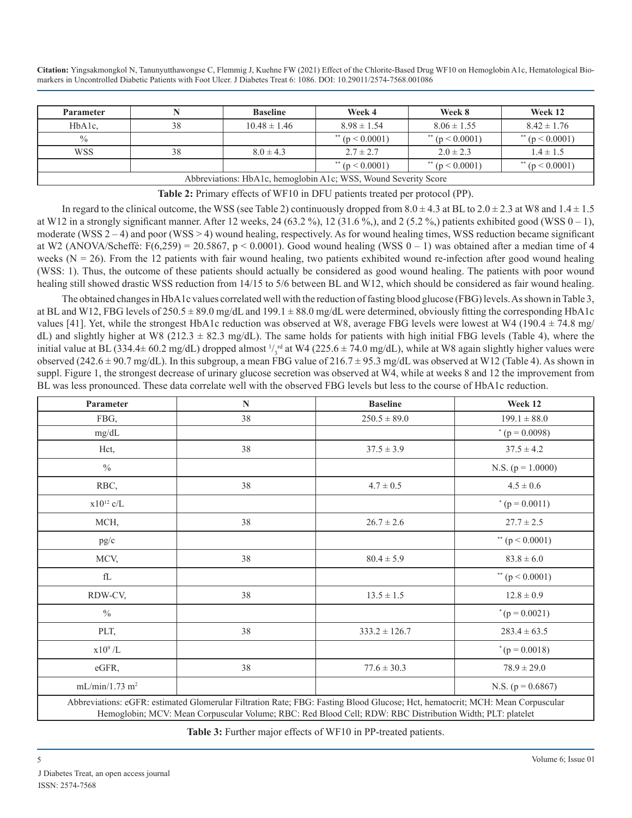| <b>Parameter</b>    |    | <b>Baseline</b>  | Week 4                                                          | Week 8            | Week 12          |
|---------------------|----|------------------|-----------------------------------------------------------------|-------------------|------------------|
| HbA <sub>1</sub> c. | 38 | $10.48 \pm 1.46$ | $8.98 \pm 1.54$                                                 | $8.06 \pm 1.55$   | $8.42 \pm 1.76$  |
| $\frac{0}{0}$       |    |                  | ** $(p < 0.0001)$                                               | ** $(p < 0.0001)$ | $*$ (p < 0.0001) |
| <b>WSS</b>          | 38 | $8.0 \pm 4.3$    | $2.7 \pm 2.7$                                                   | $2.0 \pm 2.3$     | $1.4 \pm 1.5$    |
|                     |    |                  | $*$ (p < 0.0001)                                                | ** $(p < 0.0001)$ | $*$ (p < 0.0001) |
|                     |    |                  | Abbreviations: HbA1c, hemoglobin A1c; WSS, Wound Severity Score |                   |                  |

#### **Table 2:** Primary effects of WF10 in DFU patients treated per protocol (PP).

In regard to the clinical outcome, the WSS (see Table 2) continuously dropped from  $8.0 \pm 4.3$  at BL to  $2.0 \pm 2.3$  at W8 and  $1.4 \pm 1.5$ at W12 in a strongly significant manner. After 12 weeks, 24 (63.2 %), 12 (31.6 %), and 2 (5.2 %) patients exhibited good (WSS 0 – 1), moderate (WSS  $2 - 4$ ) and poor (WSS  $> 4$ ) wound healing, respectively. As for wound healing times, WSS reduction became significant at W2 (ANOVA/Scheffé: F(6,259) = 20.5867, p < 0.0001). Good wound healing (WSS 0 – 1) was obtained after a median time of 4 weeks ( $N = 26$ ). From the 12 patients with fair wound healing, two patients exhibited wound re-infection after good wound healing (WSS: 1). Thus, the outcome of these patients should actually be considered as good wound healing. The patients with poor wound healing still showed drastic WSS reduction from 14/15 to 5/6 between BL and W12, which should be considered as fair wound healing.

The obtained changes in HbA1c values correlated well with the reduction of fasting blood glucose (FBG) levels. As shown in Table 3, at BL and W12, FBG levels of  $250.5 \pm 89.0$  mg/dL and 199.1  $\pm 88.0$  mg/dL were determined, obviously fitting the corresponding HbA1c values [41]. Yet, while the strongest HbA1c reduction was observed at W8, average FBG levels were lowest at W4 (190.4 ± 74.8 mg/ dL) and slightly higher at W8 (212.3  $\pm$  82.3 mg/dL). The same holds for patients with high initial FBG levels (Table 4), where the initial value at BL (334.4 $\pm$  60.2 mg/dL) dropped almost  $\frac{1}{3}$  at W4 (225.6  $\pm$  74.0 mg/dL), while at W8 again slightly higher values were observed (242.6  $\pm$  90.7 mg/dL). In this subgroup, a mean FBG value of 216.7  $\pm$  95.3 mg/dL was observed at W12 (Table 4). As shown in suppl. Figure 1, the strongest decrease of urinary glucose secretion was observed at W4, while at weeks 8 and 12 the improvement from BL was less pronounced. These data correlate well with the observed FBG levels but less to the course of HbA1c reduction.

| Parameter                                                                                                                                                                                                                                  | $\mathbf N$ | <b>Baseline</b>   | Week 12               |
|--------------------------------------------------------------------------------------------------------------------------------------------------------------------------------------------------------------------------------------------|-------------|-------------------|-----------------------|
| FBG,                                                                                                                                                                                                                                       | 38          | $250.5 \pm 89.0$  | $199.1 \pm 88.0$      |
| mg/dL                                                                                                                                                                                                                                      |             |                   | $*(p = 0.0098)$       |
| Hct,                                                                                                                                                                                                                                       | 38          | $37.5 \pm 3.9$    | $37.5 \pm 4.2$        |
| $\frac{0}{0}$                                                                                                                                                                                                                              |             |                   | N.S. ( $p = 1.0000$ ) |
| RBC,                                                                                                                                                                                                                                       | 38          | $4.7 \pm 0.5$     | $4.5 \pm 0.6$         |
| $x10^{12}$ c/L                                                                                                                                                                                                                             |             |                   | $*(p = 0.0011)$       |
| MCH,                                                                                                                                                                                                                                       | 38          | $26.7 \pm 2.6$    | $27.7 \pm 2.5$        |
| pg/c                                                                                                                                                                                                                                       |             |                   | ** $(p < 0.0001)$     |
| MCV,                                                                                                                                                                                                                                       | 38          | $80.4 \pm 5.9$    | $83.8 \pm 6.0$        |
| fL                                                                                                                                                                                                                                         |             |                   | ** $(p < 0.0001)$     |
| RDW-CV,                                                                                                                                                                                                                                    | 38          | $13.5 \pm 1.5$    | $12.8 \pm 0.9$        |
| $\frac{0}{0}$                                                                                                                                                                                                                              |             |                   | $*(p = 0.0021)$       |
| PLT,                                                                                                                                                                                                                                       | 38          | $333.2 \pm 126.7$ | $283.4 \pm 63.5$      |
| $x10^9/L$                                                                                                                                                                                                                                  |             |                   | $*(p = 0.0018)$       |
| eGFR,                                                                                                                                                                                                                                      | 38          | $77.6 \pm 30.3$   | $78.9 \pm 29.0$       |
| mL/min/1.73 m <sup>2</sup>                                                                                                                                                                                                                 |             |                   | N.S. ( $p = 0.6867$ ) |
| Abbreviations: eGFR: estimated Glomerular Filtration Rate; FBG: Fasting Blood Glucose; Hct, hematocrit; MCH: Mean Corpuscular<br>Hemoglobin; MCV: Mean Corpuscular Volume; RBC: Red Blood Cell; RDW: RBC Distribution Width; PLT: platelet |             |                   |                       |

**Table 3:** Further major effects of WF10 in PP-treated patients.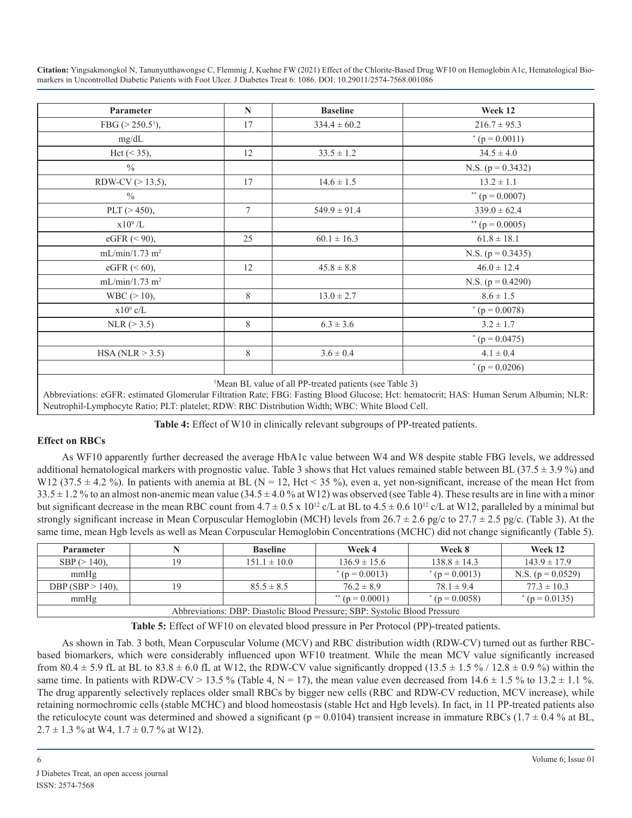| Parameter                       | N      | <b>Baseline</b>  | Week 12               |  |
|---------------------------------|--------|------------------|-----------------------|--|
| FBG ( $>$ 250.5 <sup>1</sup> ), | 17     | $334.4 \pm 60.2$ | $216.7 \pm 95.3$      |  |
| mg/dL                           |        |                  | $*(p = 0.0011)$       |  |
| $Het$ (< 35),                   | 12     | $33.5 \pm 1.2$   | $34.5 \pm 4.0$        |  |
| $\frac{0}{0}$                   |        |                  | N.S. ( $p = 0.3432$ ) |  |
| RDW-CV $(> 13.5)$ ,             | 17     | $14.6 \pm 1.5$   | $13.2 \pm 1.1$        |  |
| $\frac{0}{0}$                   |        |                  | ** $(p = 0.0007)$     |  |
| PLT ( $> 450$ ),                | $\tau$ | $549.9 \pm 91.4$ | $339.0 \pm 62.4$      |  |
| $x10^9/L$                       |        |                  | ** $(p = 0.0005)$     |  |
| eGFR $(< 90)$ ,                 | 25     | $60.1 \pm 16.3$  | $61.8 \pm 18.1$       |  |
| mL/min/1.73 m <sup>2</sup>      |        |                  | N.S. $(p = 0.3435)$   |  |
| eGFR $(< 60$ ),                 | 12     | $45.8 \pm 8.8$   | $46.0 \pm 12.4$       |  |
| $mL/min/1.73$ m <sup>2</sup>    |        |                  | N.S. $(p = 0.4290)$   |  |
| $WBC (> 10)$ ,                  | 8      | $13.0 \pm 2.7$   | $8.6 \pm 1.5$         |  |
| $x10^9$ c/L                     |        |                  | $*(p = 0.0078)$       |  |
| NLR (> 3.5)                     | 8      | $6.3 \pm 3.6$    | $3.2 \pm 1.7$         |  |
|                                 |        |                  | * $(p = 0.0475)$      |  |
| HSA (NLR $>$ 3.5)               | $8\,$  | $3.6 \pm 0.4$    | $4.1 \pm 0.4$         |  |
|                                 |        |                  | $p^*(p = 0.0206)$     |  |

1 Mean BL value of all PP-treated patients (see Table 3)

Abbreviations: eGFR: estimated Glomerular Filtration Rate; FBG: Fasting Blood Glucose; Hct: hematocrit; HAS: Human Serum Albumin; NLR: Neutrophil-Lymphocyte Ratio; PLT: platelet; RDW: RBC Distribution Width; WBC: White Blood Cell.

**Table 4:** Effect of W10 in clinically relevant subgroups of PP-treated patients.

#### **Effect on RBCs**

As WF10 apparently further decreased the average HbA1c value between W4 and W8 despite stable FBG levels, we addressed additional hematological markers with prognostic value. Table 3 shows that Hct values remained stable between BL (37.5  $\pm$  3.9 %) and W12 (37.5  $\pm$  4.2 %). In patients with anemia at BL (N = 12, Hct < 35 %), even a, yet non-significant, increase of the mean Hct from  $33.5 \pm 1.2$  % to an almost non-anemic mean value  $(34.5 \pm 4.0$  % at W12) was observed (see Table 4). These results are in line with a minor but significant decrease in the mean RBC count from  $4.7 \pm 0.5 \times 10^{12}$  c/L at BL to  $4.5 \pm 0.6 \times 10^{12}$  c/L at W12, paralleled by a minimal but strongly significant increase in Mean Corpuscular Hemoglobin (MCH) levels from  $26.7 \pm 2.6$  pg/c to  $27.7 \pm 2.5$  pg/c. (Table 3). At the same time, mean Hgb levels as well as Mean Corpuscular Hemoglobin Concentrations (MCHC) did not change significantly (Table 5).

| <b>Parameter</b>                                                           |     | <b>Baseline</b>  | Week 4           | Week 8           | Week 12             |
|----------------------------------------------------------------------------|-----|------------------|------------------|------------------|---------------------|
| $SBP (> 140)$ ,                                                            | 1 Q | $151.1 \pm 10.0$ | $136.9 \pm 15.6$ | $138.8 \pm 14.3$ | $143.9 \pm 17.9$    |
| mmHg                                                                       |     |                  | $(p = 0.0013)$   | $(p = 0.0013)$   | N.S. $(p = 0.0529)$ |
| DBP (SBP $> 140$ ),                                                        |     | $85.5 \pm 8.5$   | $76.2 \pm 8.9$   | $78.1 \pm 9.4$   | $77.3 \pm 10.3$     |
| mmHg                                                                       |     |                  | $*$ (p = 0.0001) | $(p = 0.0058)$   | $p = 0.0135$        |
| Abbreviations: DBP: Diastolic Blood Pressure; SBP: Systolic Blood Pressure |     |                  |                  |                  |                     |

**Table 5:** Effect of WF10 on elevated blood pressure in Per Protocol (PP)-treated patients.

As shown in Tab. 3 both, Mean Corpuscular Volume (MCV) and RBC distribution width (RDW-CV) turned out as further RBCbased biomarkers, which were considerably influenced upon WF10 treatment. While the mean MCV value significantly increased from 80.4  $\pm$  5.9 fL at BL to 83.8  $\pm$  6.0 fL at W12, the RDW-CV value significantly dropped (13.5  $\pm$  1.5 %/12.8  $\pm$  0.9 %) within the same time. In patients with RDW-CV > 13.5 % (Table 4, N = 17), the mean value even decreased from  $14.6 \pm 1.5$  % to  $13.2 \pm 1.1$  %. The drug apparently selectively replaces older small RBCs by bigger new cells (RBC and RDW-CV reduction, MCV increase), while retaining normochromic cells (stable MCHC) and blood homeostasis (stable Hct and Hgb levels). In fact, in 11 PP-treated patients also the reticulocyte count was determined and showed a significant ( $p = 0.0104$ ) transient increase in immature RBCs (1.7  $\pm$  0.4 % at BL,  $2.7 \pm 1.3$  % at W4,  $1.7 \pm 0.7$  % at W12).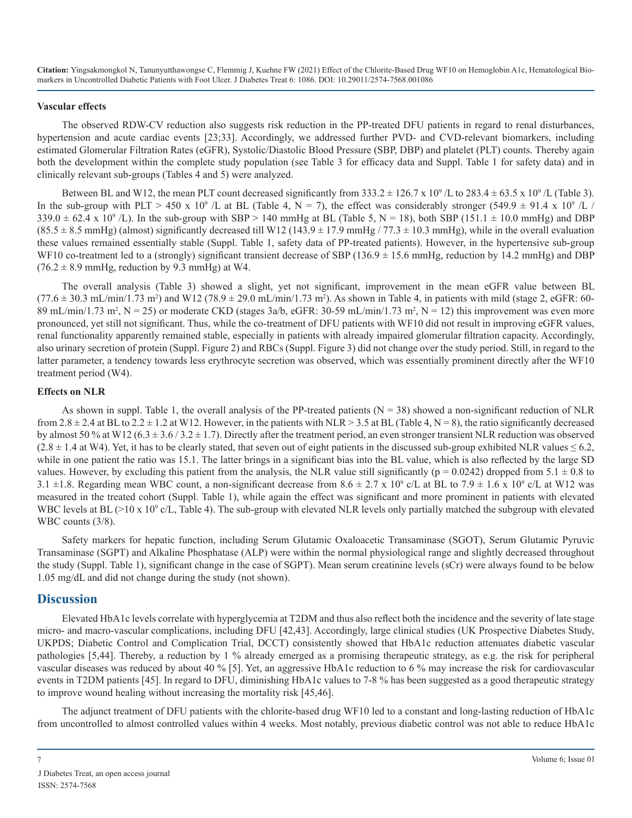#### **Vascular effects**

The observed RDW-CV reduction also suggests risk reduction in the PP-treated DFU patients in regard to renal disturbances, hypertension and acute cardiac events [23;33]. Accordingly, we addressed further PVD- and CVD-relevant biomarkers, including estimated Glomerular Filtration Rates (eGFR), Systolic/Diastolic Blood Pressure (SBP, DBP) and platelet (PLT) counts. Thereby again both the development within the complete study population (see Table 3 for efficacy data and Suppl. Table 1 for safety data) and in clinically relevant sub-groups (Tables 4 and 5) were analyzed.

Between BL and W12, the mean PLT count decreased significantly from  $333.2 \pm 126.7 \times 10^9$  /L to  $283.4 \pm 63.5 \times 10^9$  /L (Table 3). In the sub-group with PLT > 450 x 10<sup>9</sup> /L at BL (Table 4, N = 7), the effect was considerably stronger (549.9  $\pm$  91.4 x 10<sup>9</sup> /L /  $339.0 \pm 62.4 \times 10^9$  /L). In the sub-group with SBP > 140 mmHg at BL (Table 5, N = 18), both SBP (151.1  $\pm$  10.0 mmHg) and DBP  $(85.5 \pm 8.5 \text{ mmHg})$  (almost) significantly decreased till W12 (143.9  $\pm$  17.9 mmHg / 77.3  $\pm$  10.3 mmHg), while in the overall evaluation these values remained essentially stable (Suppl. Table 1, safety data of PP-treated patients). However, in the hypertensive sub-group WF10 co-treatment led to a (strongly) significant transient decrease of SBP ( $136.9 \pm 15.6$  mmHg, reduction by 14.2 mmHg) and DBP  $(76.2 \pm 8.9 \text{ mmHg}, \text{reduction by } 9.3 \text{ mmHg})$  at W4.

The overall analysis (Table 3) showed a slight, yet not significant, improvement in the mean eGFR value between BL  $(77.6 \pm 30.3 \text{ mL/min}/1.73 \text{ m}^2)$  and W12  $(78.9 \pm 29.0 \text{ mL/min}/1.73 \text{ m}^2)$ . As shown in Table 4, in patients with mild (stage 2, eGFR: 60-89 mL/min/1.73 m<sup>2</sup>, N = 25) or moderate CKD (stages  $3a/b$ , eGFR:  $30-59$  mL/min/1.73 m<sup>2</sup>, N = 12) this improvement was even more pronounced, yet still not significant. Thus, while the co-treatment of DFU patients with WF10 did not result in improving eGFR values, renal functionality apparently remained stable, especially in patients with already impaired glomerular filtration capacity. Accordingly, also urinary secretion of protein (Suppl. Figure 2) and RBCs (Suppl. Figure 3) did not change over the study period. Still, in regard to the latter parameter, a tendency towards less erythrocyte secretion was observed, which was essentially prominent directly after the WF10 treatment period (W4).

#### **Effects on NLR**

As shown in suppl. Table 1, the overall analysis of the PP-treated patients ( $N = 38$ ) showed a non-significant reduction of NLR from 2.8  $\pm$  2.4 at BL to 2.2  $\pm$  1.2 at W12. However, in the patients with NLR > 3.5 at BL (Table 4, N = 8), the ratio significantly decreased by almost 50 % at W12 (6.3  $\pm$  3.6 / 3.2  $\pm$  1.7). Directly after the treatment period, an even stronger transient NLR reduction was observed  $(2.8 \pm 1.4 \text{ at W4})$ . Yet, it has to be clearly stated, that seven out of eight patients in the discussed sub-group exhibited NLR values  $\le 6.2$ , while in one patient the ratio was 15.1. The latter brings in a significant bias into the BL value, which is also reflected by the large SD values. However, by excluding this patient from the analysis, the NLR value still significantly ( $p = 0.0242$ ) dropped from 5.1  $\pm$  0.8 to 3.1  $\pm$ 1.8. Regarding mean WBC count, a non-significant decrease from 8.6  $\pm$  2.7 x 10<sup>9</sup> c/L at BL to 7.9  $\pm$  1.6 x 10<sup>9</sup> c/L at W12 was measured in the treated cohort (Suppl. Table 1), while again the effect was significant and more prominent in patients with elevated WBC levels at BL  $(>10 \times 10^9 \text{ c/L})$ , Table 4). The sub-group with elevated NLR levels only partially matched the subgroup with elevated WBC counts (3/8).

Safety markers for hepatic function, including Serum Glutamic Oxaloacetic Transaminase (SGOT), Serum Glutamic Pyruvic Transaminase (SGPT) and Alkaline Phosphatase (ALP) were within the normal physiological range and slightly decreased throughout the study (Suppl. Table 1), significant change in the case of SGPT). Mean serum creatinine levels (sCr) were always found to be below 1.05 mg/dL and did not change during the study (not shown).

#### **Discussion**

Elevated HbA1c levels correlate with hyperglycemia at T2DM and thus also reflect both the incidence and the severity of late stage micro- and macro-vascular complications, including DFU [42,43]. Accordingly, large clinical studies (UK Prospective Diabetes Study, UKPDS; Diabetic Control and Complication Trial, DCCT) consistently showed that HbA1c reduction attenuates diabetic vascular pathologies [5,44]. Thereby, a reduction by 1 % already emerged as a promising therapeutic strategy, as e.g. the risk for peripheral vascular diseases was reduced by about 40 % [5]. Yet, an aggressive HbA1c reduction to 6 % may increase the risk for cardiovascular events in T2DM patients [45]. In regard to DFU, diminishing HbA1c values to 7-8 % has been suggested as a good therapeutic strategy to improve wound healing without increasing the mortality risk [45,46].

The adjunct treatment of DFU patients with the chlorite-based drug WF10 led to a constant and long-lasting reduction of HbA1c from uncontrolled to almost controlled values within 4 weeks. Most notably, previous diabetic control was not able to reduce HbA1c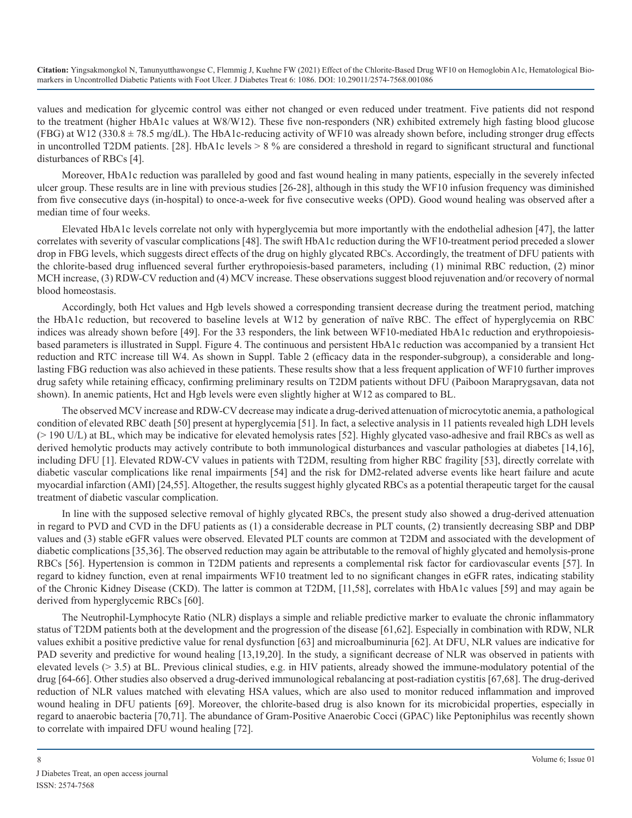values and medication for glycemic control was either not changed or even reduced under treatment. Five patients did not respond to the treatment (higher HbA1c values at W8/W12). These five non-responders (NR) exhibited extremely high fasting blood glucose (FBG) at W12 (330.8  $\pm$  78.5 mg/dL). The HbA1c-reducing activity of WF10 was already shown before, including stronger drug effects in uncontrolled T2DM patients. [28]. HbA1c levels > 8 % are considered a threshold in regard to significant structural and functional disturbances of RBCs [4].

Moreover, HbA1c reduction was paralleled by good and fast wound healing in many patients, especially in the severely infected ulcer group. These results are in line with previous studies [26-28], although in this study the WF10 infusion frequency was diminished from five consecutive days (in-hospital) to once-a-week for five consecutive weeks (OPD). Good wound healing was observed after a median time of four weeks.

Elevated HbA1c levels correlate not only with hyperglycemia but more importantly with the endothelial adhesion [47], the latter correlates with severity of vascular complications [48]. The swift HbA1c reduction during the WF10-treatment period preceded a slower drop in FBG levels, which suggests direct effects of the drug on highly glycated RBCs. Accordingly, the treatment of DFU patients with the chlorite-based drug influenced several further erythropoiesis-based parameters, including (1) minimal RBC reduction, (2) minor MCH increase, (3) RDW-CV reduction and (4) MCV increase. These observations suggest blood rejuvenation and/or recovery of normal blood homeostasis.

Accordingly, both Hct values and Hgb levels showed a corresponding transient decrease during the treatment period, matching the HbA1c reduction, but recovered to baseline levels at W12 by generation of naïve RBC. The effect of hyperglycemia on RBC indices was already shown before [49]. For the 33 responders, the link between WF10-mediated HbA1c reduction and erythropoiesisbased parameters is illustrated in Suppl. Figure 4. The continuous and persistent HbA1c reduction was accompanied by a transient Hct reduction and RTC increase till W4. As shown in Suppl. Table 2 (efficacy data in the responder-subgroup), a considerable and longlasting FBG reduction was also achieved in these patients. These results show that a less frequent application of WF10 further improves drug safety while retaining efficacy, confirming preliminary results on T2DM patients without DFU (Paiboon Maraprygsavan, data not shown). In anemic patients, Hct and Hgb levels were even slightly higher at W12 as compared to BL.

The observed MCV increase and RDW-CV decrease may indicate a drug-derived attenuation of microcytotic anemia, a pathological condition of elevated RBC death [50] present at hyperglycemia [51]. In fact, a selective analysis in 11 patients revealed high LDH levels (> 190 U/L) at BL, which may be indicative for elevated hemolysis rates [52]. Highly glycated vaso-adhesive and frail RBCs as well as derived hemolytic products may actively contribute to both immunological disturbances and vascular pathologies at diabetes [14,16], including DFU [1]. Elevated RDW-CV values in patients with T2DM, resulting from higher RBC fragility [53], directly correlate with diabetic vascular complications like renal impairments [54] and the risk for DM2-related adverse events like heart failure and acute myocardial infarction (AMI) [24,55]. Altogether, the results suggest highly glycated RBCs as a potential therapeutic target for the causal treatment of diabetic vascular complication.

In line with the supposed selective removal of highly glycated RBCs, the present study also showed a drug-derived attenuation in regard to PVD and CVD in the DFU patients as (1) a considerable decrease in PLT counts, (2) transiently decreasing SBP and DBP values and (3) stable eGFR values were observed. Elevated PLT counts are common at T2DM and associated with the development of diabetic complications [35,36]. The observed reduction may again be attributable to the removal of highly glycated and hemolysis-prone RBCs [56]. Hypertension is common in T2DM patients and represents a complemental risk factor for cardiovascular events [57]. In regard to kidney function, even at renal impairments WF10 treatment led to no significant changes in eGFR rates, indicating stability of the Chronic Kidney Disease (CKD). The latter is common at T2DM, [11,58], correlates with HbA1c values [59] and may again be derived from hyperglycemic RBCs [60].

The Neutrophil-Lymphocyte Ratio (NLR) displays a simple and reliable predictive marker to evaluate the chronic inflammatory status of T2DM patients both at the development and the progression of the disease [61,62]. Especially in combination with RDW, NLR values exhibit a positive predictive value for renal dysfunction [63] and microalbuminuria [62]. At DFU, NLR values are indicative for PAD severity and predictive for wound healing [13,19,20]. In the study, a significant decrease of NLR was observed in patients with elevated levels (> 3.5) at BL. Previous clinical studies, e.g. in HIV patients, already showed the immune-modulatory potential of the drug [64-66]. Other studies also observed a drug-derived immunological rebalancing at post-radiation cystitis [67,68]. The drug-derived reduction of NLR values matched with elevating HSA values, which are also used to monitor reduced inflammation and improved wound healing in DFU patients [69]. Moreover, the chlorite-based drug is also known for its microbicidal properties, especially in regard to anaerobic bacteria [70,71]. The abundance of Gram-Positive Anaerobic Cocci (GPAC) like Peptoniphilus was recently shown to correlate with impaired DFU wound healing [72].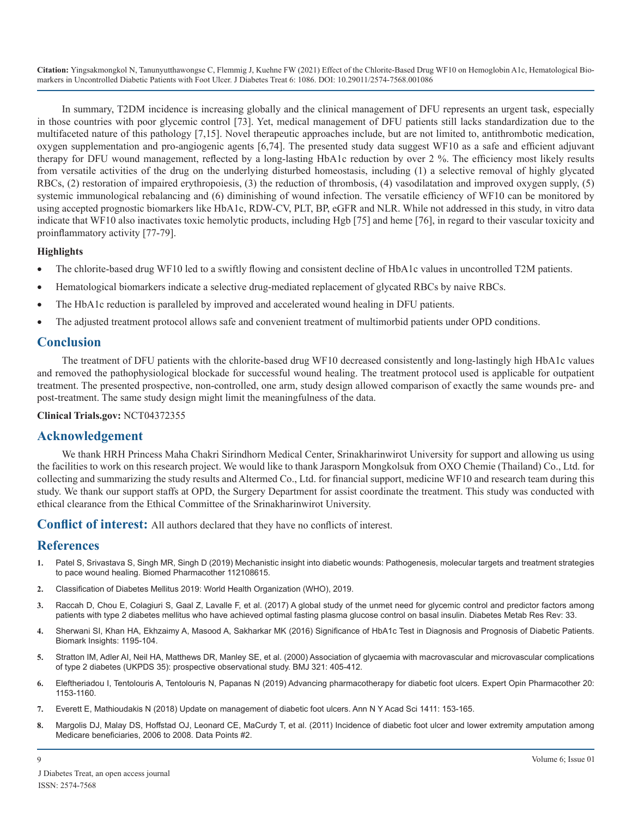In summary, T2DM incidence is increasing globally and the clinical management of DFU represents an urgent task, especially in those countries with poor glycemic control [73]. Yet, medical management of DFU patients still lacks standardization due to the multifaceted nature of this pathology [7,15]. Novel therapeutic approaches include, but are not limited to, antithrombotic medication, oxygen supplementation and pro-angiogenic agents [6,74]. The presented study data suggest WF10 as a safe and efficient adjuvant therapy for DFU wound management, reflected by a long-lasting HbA1c reduction by over 2 %. The efficiency most likely results from versatile activities of the drug on the underlying disturbed homeostasis, including (1) a selective removal of highly glycated RBCs, (2) restoration of impaired erythropoiesis, (3) the reduction of thrombosis, (4) vasodilatation and improved oxygen supply, (5) systemic immunological rebalancing and (6) diminishing of wound infection. The versatile efficiency of WF10 can be monitored by using accepted prognostic biomarkers like HbA1c, RDW-CV, PLT, BP, eGFR and NLR. While not addressed in this study, in vitro data indicate that WF10 also inactivates toxic hemolytic products, including Hgb [75] and heme [76], in regard to their vascular toxicity and proinflammatory activity [77-79].

#### **Highlights**

- The chlorite-based drug WF10 led to a swiftly flowing and consistent decline of HbA1c values in uncontrolled T2M patients.
- Hematological biomarkers indicate a selective drug-mediated replacement of glycated RBCs by naive RBCs.
- The HbA1c reduction is paralleled by improved and accelerated wound healing in DFU patients.
- The adjusted treatment protocol allows safe and convenient treatment of multimorbid patients under OPD conditions.

#### **Conclusion**

The treatment of DFU patients with the chlorite-based drug WF10 decreased consistently and long-lastingly high HbA1c values and removed the pathophysiological blockade for successful wound healing. The treatment protocol used is applicable for outpatient treatment. The presented prospective, non-controlled, one arm, study design allowed comparison of exactly the same wounds pre- and post-treatment. The same study design might limit the meaningfulness of the data.

#### **Clinical Trials.gov:** NCT04372355

#### **Acknowledgement**

We thank HRH Princess Maha Chakri Sirindhorn Medical Center, Srinakharinwirot University for support and allowing us using the facilities to work on this research project. We would like to thank Jarasporn Mongkolsuk from OXO Chemie (Thailand) Co., Ltd. for collecting and summarizing the study results and Altermed Co., Ltd. for financial support, medicine WF10 and research team during this study. We thank our support staffs at OPD, the Surgery Department for assist coordinate the treatment. This study was conducted with ethical clearance from the Ethical Committee of the Srinakharinwirot University.

**Conflict of interest:** All authors declared that they have no conflicts of interest.

#### **References**

- **1.** [Patel S, Srivastava S, Singh MR, Singh D \(2019\) Mechanistic insight into diabetic wounds: Pathogenesis, molecular targets and treatment strategies](https://pubmed.ncbi.nlm.nih.gov/30784919/)  [to pace wound healing. Biomed Pharmacother 112108615.](https://pubmed.ncbi.nlm.nih.gov/30784919/)
- **2.** [Classification of Diabetes Mellitus 2019: World Health Organization \(WHO\), 2019](https://care.diabetesjournals.org/content/42/Supplement_1/S13#:~:text=Diabetes can be classified into,the background of insulin resistance)).
- **3.** [Raccah D, Chou E, Colagiuri S, Gaal Z, Lavalle F, et al. \(2017\) A global study of the unmet need for glycemic control and predictor factors among](https://pubmed.ncbi.nlm.nih.gov/27606888/)  [patients with type 2 diabetes mellitus who have achieved optimal fasting plasma glucose control on basal insulin. Diabetes Metab Res Rev: 33](https://pubmed.ncbi.nlm.nih.gov/27606888/).
- **4.** [Sherwani SI, Khan HA, Ekhzaimy A, Masood A, Sakharkar MK \(2016\) Significance of HbA1c Test in Diagnosis and Prognosis of Diabetic Patients.](https://pubmed.ncbi.nlm.nih.gov/27398023/#:~:text=HbA1c is an important indicator,of long%2Dterm diabetes complications.)  [Biomark Insights: 1195-104](https://pubmed.ncbi.nlm.nih.gov/27398023/#:~:text=HbA1c is an important indicator,of long%2Dterm diabetes complications.).
- **5.** [Stratton IM, Adler AI, Neil HA, Matthews DR, Manley SE, et al. \(2000\) Association of glycaemia with macrovascular and microvascular complications](https://pubmed.ncbi.nlm.nih.gov/10938048/)  [of type 2 diabetes \(UKPDS 35\): prospective observational study. BMJ 321: 405-412.](https://pubmed.ncbi.nlm.nih.gov/10938048/)
- **6.** [Eleftheriadou I, Tentolouris A, Tentolouris N, Papanas N \(2019\) Advancing pharmacotherapy for diabetic foot ulcers. Expert Opin Pharmacother 20:](https://pubmed.ncbi.nlm.nih.gov/30958725/)  [1153-1160.](https://pubmed.ncbi.nlm.nih.gov/30958725/)
- **7.** [Everett E, Mathioudakis N \(2018\) Update on management of diabetic foot ulcers. Ann N Y Acad Sci 1411: 153-165.](https://pubmed.ncbi.nlm.nih.gov/29377202/)
- **8.** [Margolis DJ, Malay DS, Hoffstad OJ, Leonard CE, MaCurdy T, et al. \(2011\) Incidence of diabetic foot ulcer and lower extremity amputation among](https://www.ncbi.nlm.nih.gov/books/NBK65149/)  [Medicare beneficiaries, 2006 to 2008. Data Points #2.](https://www.ncbi.nlm.nih.gov/books/NBK65149/)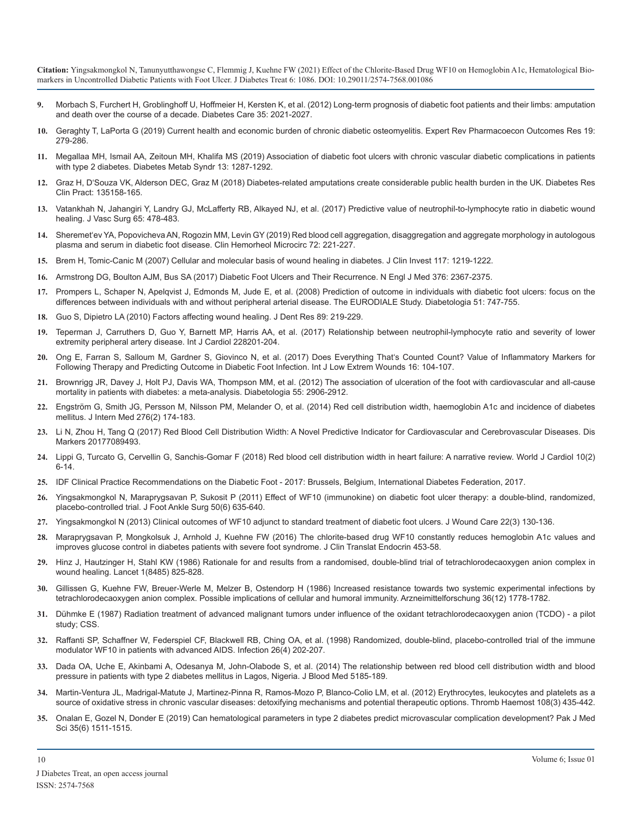- **9.** [Morbach S, Furchert H, Groblinghoff U, Hoffmeier H, Kersten K, et al. \(2012\) Long-term prognosis of diabetic foot patients and their limbs: amputation](https://pubmed.ncbi.nlm.nih.gov/22815299/)  [and death over the course of a decade. Diabetes Care 35: 2021-2027.](https://pubmed.ncbi.nlm.nih.gov/22815299/)
- **10.** [Geraghty T, LaPorta G \(2019\) Current health and economic burden of chronic diabetic osteomyelitis. Expert Rev Pharmacoecon Outcomes Res 19:](https://pubmed.ncbi.nlm.nih.gov/30625012/)  [279-286.](https://pubmed.ncbi.nlm.nih.gov/30625012/)
- **11.** [Megallaa MH, Ismail AA, Zeitoun MH, Khalifa MS \(2019\) Association of diabetic foot ulcers with chronic vascular diabetic complications in patients](https://pubmed.ncbi.nlm.nih.gov/31336479/)  [with type 2 diabetes. Diabetes Metab Syndr 13: 1287-1292.](https://pubmed.ncbi.nlm.nih.gov/31336479/)
- **12.** [Graz H, D'Souza VK, Alderson DEC, Graz M \(2018\) Diabetes-related amputations create considerable public health burden in the UK. Diabetes Res](https://pubmed.ncbi.nlm.nih.gov/29133201/)  [Clin Pract: 135158-165.](https://pubmed.ncbi.nlm.nih.gov/29133201/)
- **13.** [Vatankhah N, Jahangiri Y, Landry GJ, McLafferty RB, Alkayed NJ, et al. \(2017\) Predictive value of neutrophil-to-lymphocyte ratio in diabetic wound](https://pubmed.ncbi.nlm.nih.gov/27887858/)  [healing. J Vasc Surg 65: 478-483.](https://pubmed.ncbi.nlm.nih.gov/27887858/)
- **14.** [Sheremet'ev YA, Popovicheva AN, Rogozin MM, Levin GY \(2019\) Red blood cell aggregation, disaggregation and aggregate morphology in autologous](https://pubmed.ncbi.nlm.nih.gov/30909193/)  [plasma and serum in diabetic foot disease. Clin Hemorheol Microcirc 72: 221-227.](https://pubmed.ncbi.nlm.nih.gov/30909193/)
- **15.** [Brem H, Tomic-Canic M \(2007\) Cellular and molecular basis of wound healing in diabetes. J Clin Invest 117: 1219-1222.](https://pubmed.ncbi.nlm.nih.gov/17476353/)
- **16.** [Armstrong DG, Boulton AJM, Bus SA \(2017\) Diabetic Foot Ulcers and Their Recurrence. N Engl J Med 376: 2367-2375.](https://www.nejm.org/doi/full/10.1056/NEJMra1615439)
- **17.** [Prompers L, Schaper N, Apelqvist J, Edmonds M, Jude E, et al. \(2008\) Prediction of outcome in individuals with diabetic foot ulcers: focus on the](https://pubmed.ncbi.nlm.nih.gov/18297261/)  [differences between individuals with and without peripheral arterial disease. The EURODIALE Study. Diabetologia 51: 747-755](https://pubmed.ncbi.nlm.nih.gov/18297261/).
- **18.** [Guo S, Dipietro LA \(2010\) Factors affecting wound healing. J Dent Res 89: 219-229.](https://pubmed.ncbi.nlm.nih.gov/20139336/)
- **19.** [Teperman J, Carruthers D, Guo Y, Barnett MP, Harris AA, et al. \(2017\) Relationship between neutrophil-lymphocyte ratio and severity of lower](https://pubmed.ncbi.nlm.nih.gov/27865186/)  [extremity peripheral artery disease. Int J Cardiol 228201-204](https://pubmed.ncbi.nlm.nih.gov/27865186/).
- **20.** [Ong E, Farran S, Salloum M, Gardner S, Giovinco N, et al. \(2017\) Does Everything That's Counted Count? Value of Inflammatory Markers for](https://pubmed.ncbi.nlm.nih.gov/28682724/)  [Following Therapy and Predicting Outcome in Diabetic Foot Infection. Int J Low Extrem Wounds 16: 104-107.](https://pubmed.ncbi.nlm.nih.gov/28682724/)
- **21.** [Brownrigg JR, Davey J, Holt PJ, Davis WA, Thompson MM, et al. \(2012\) The association of ulceration of the foot with cardiovascular and all-cause](https://pubmed.ncbi.nlm.nih.gov/22890823/)  [mortality in patients with diabetes: a meta-analysis. Diabetologia 55: 2906-2912.](https://pubmed.ncbi.nlm.nih.gov/22890823/)
- **22.** [Engström G, Smith JG, Persson M, Nilsson PM, Melander O, et al. \(2014\) Red cell distribution width, haemoglobin A1c and incidence of diabetes](https://pubmed.ncbi.nlm.nih.gov/24471821/)  [mellitus. J Intern Med 276\(2\) 174-183.](https://pubmed.ncbi.nlm.nih.gov/24471821/)
- **23.** [Li N, Zhou H, Tang Q \(2017\) Red Blood Cell Distribution Width: A Novel Predictive Indicator for Cardiovascular and Cerebrovascular Diseases. Dis](https://pubmed.ncbi.nlm.nih.gov/29038615/)  [Markers 20177089493.](https://pubmed.ncbi.nlm.nih.gov/29038615/)
- **24.** [Lippi G, Turcato G, Cervellin G, Sanchis-Gomar F \(2018\) Red blood cell distribution width in heart failure: A narrative review. World J Cardiol 10\(2\)](https://www.ncbi.nlm.nih.gov/pmc/articles/PMC5827617/)  [6-14](https://www.ncbi.nlm.nih.gov/pmc/articles/PMC5827617/).
- **25.** IDF Clinical Practice Recommendations on the Diabetic Foot 2017: Brussels, Belgium, International Diabetes Federation, 2017.
- **26.** [Yingsakmongkol N, Maraprygsavan P, Sukosit P \(2011\) Effect of WF10 \(immunokine\) on diabetic foot ulcer therapy: a double-blind, randomized,](https://pubmed.ncbi.nlm.nih.gov/21723750/)  [placebo-controlled trial. J Foot Ankle Surg 50\(6\) 635-640.](https://pubmed.ncbi.nlm.nih.gov/21723750/)
- **27.** [Yingsakmongkol N \(2013\) Clinical outcomes of WF10 adjunct to standard treatment of diabetic foot ulcers. J Wound Care 22\(3\) 130-136.](https://pubmed.ncbi.nlm.nih.gov/23665731/)
- **28.** [Maraprygsavan P, Mongkolsuk J, Arnhold J, Kuehne FW \(2016\) The chlorite-based drug WF10 constantly reduces hemoglobin A1c values and](https://pubmed.ncbi.nlm.nih.gov/29159131/)  [improves glucose control in diabetes patients with severe foot syndrome. J Clin Translat Endocrin 453-58.](https://pubmed.ncbi.nlm.nih.gov/29159131/)
- **29.** [Hinz J, Hautzinger H, Stahl KW \(1986\) Rationale for and results from a randomised, double-blind trial of tetrachlorodecaoxygen anion complex in](https://www.sciencedirect.com/science/article/abs/pii/S0140673686909396)  [wound healing. Lancet 1\(8485\) 825-828.](https://www.sciencedirect.com/science/article/abs/pii/S0140673686909396)
- **30.** [Gillissen G, Kuehne FW, Breuer-Werle M, Melzer B, Ostendorp H \(1986\) Increased resistance towards two systemic experimental infections by](https://pubmed.ncbi.nlm.nih.gov/3566839/)  [tetrachlorodecaoxygen anion complex. Possible implications of cellular and humoral immunity. Arzneimittelforschung 36\(12\) 1778-1782](https://pubmed.ncbi.nlm.nih.gov/3566839/).
- **31.** Dühmke E (1987) Radiation treatment of advanced malignant tumors under influence of the oxidant tetrachlorodecaoxygen anion (TCDO) a pilot study; CSS.
- **32.** [Raffanti SP, Schaffner W, Federspiel CF, Blackwell RB, Ching OA, et al. \(1998\) Randomized, double-blind, placebo-controlled trial of the immune](https://link.springer.com/article/10.1007/BF02962364)  [modulator WF10 in patients with advanced AIDS. Infection 26\(4\) 202-207](https://link.springer.com/article/10.1007/BF02962364).
- **33.** [Dada OA, Uche E, Akinbami A, Odesanya M, John-Olabode S, et al. \(2014\) The relationship between red blood cell distribution width and blood](https://pubmed.ncbi.nlm.nih.gov/25278786/)  [pressure in patients with type 2 diabetes mellitus in Lagos, Nigeria. J Blood Med 5185-189](https://pubmed.ncbi.nlm.nih.gov/25278786/).
- **34.** [Martin-Ventura JL, Madrigal-Matute J, Martinez-Pinna R, Ramos-Mozo P, Blanco-Colio LM, et al. \(2012\) Erythrocytes, leukocytes and platelets as a](https://pubmed.ncbi.nlm.nih.gov/22836558/)  [source of oxidative stress in chronic vascular diseases: detoxifying mechanisms and potential therapeutic options. Thromb Haemost 108\(3\) 435-442.](https://pubmed.ncbi.nlm.nih.gov/22836558/)
- **35.** [Onalan E, Gozel N, Donder E \(2019\) Can hematological parameters in type 2 diabetes predict microvascular complication development? Pak J Med](https://pubmed.ncbi.nlm.nih.gov/31777484/)  [Sci 35\(6\) 1511-1515](https://pubmed.ncbi.nlm.nih.gov/31777484/).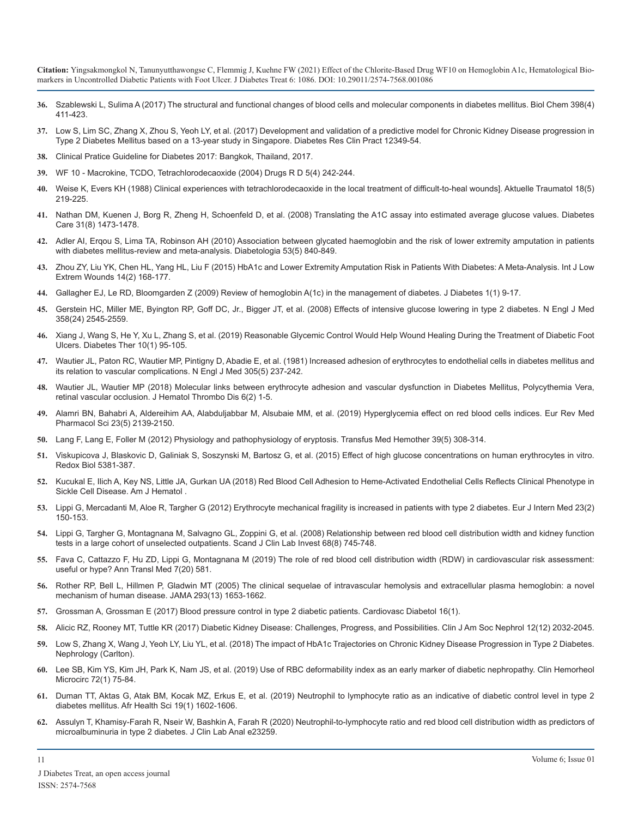- **36.** [Szablewski L, Sulima A \(2017\) The structural and functional changes of blood cells and molecular components in diabetes mellitus. Biol Chem 398\(4\)](https://pubmed.ncbi.nlm.nih.gov/27768581/)  [411-423](https://pubmed.ncbi.nlm.nih.gov/27768581/).
- **37.** [Low S, Lim SC, Zhang X, Zhou S, Yeoh LY, et al. \(2017\) Development and validation of a predictive model for Chronic Kidney Disease progression in](https://europepmc.org/article/med/27923172)  [Type 2 Diabetes Mellitus based on a 13-year study in Singapore. Diabetes Res Clin Pract 12349-54.](https://europepmc.org/article/med/27923172)
- **38.** Clinical Pratice Guideline for Diabetes 2017: Bangkok, Thailand, 2017.
- **39.** [WF 10 Macrokine, TCDO, Tetrachlorodecaoxide \(2004\) Drugs R D 5\(4\) 242-244](https://pubmed.ncbi.nlm.nih.gov/15230635/).
- **40.** [Weise K, Evers KH \(1988\) Clinical experiences with tetrachlorodecaoxide in the local treatment of difficult-to-heal wounds\]. Aktuelle Traumatol 18\(5\)](https://pubmed.ncbi.nlm.nih.gov/2907247/)  [219-225.](https://pubmed.ncbi.nlm.nih.gov/2907247/)
- **41.** [Nathan DM, Kuenen J, Borg R, Zheng H, Schoenfeld D, et al. \(2008\) Translating the A1C assay into estimated average glucose values. Diabetes](https://care.diabetesjournals.org/content/31/8/1473)  [Care 31\(8\) 1473-1478.](https://care.diabetesjournals.org/content/31/8/1473)
- **42.** [Adler AI, Erqou S, Lima TA, Robinson AH \(2010\) Association between glycated haemoglobin and the risk of lower extremity amputation in patients](https://pubmed.ncbi.nlm.nih.gov/20127309/)  [with diabetes mellitus-review and meta-analysis. Diabetologia 53\(5\) 840-849](https://pubmed.ncbi.nlm.nih.gov/20127309/).
- **43.** [Zhou ZY, Liu YK, Chen HL, Yang HL, Liu F \(2015\) HbA1c and Lower Extremity Amputation Risk in Patients With Diabetes: A Meta-Analysis. Int J Low](https://pubmed.ncbi.nlm.nih.gov/26130760/)  [Extrem Wounds 14\(2\) 168-177.](https://pubmed.ncbi.nlm.nih.gov/26130760/)
- **44.** [Gallagher EJ, Le RD, Bloomgarden Z \(2009\) Review of hemoglobin A\(1c\) in the management of diabetes. J Diabetes 1\(1\) 9-17.](https://pubmed.ncbi.nlm.nih.gov/20923515/)
- **45.** [Gerstein HC, Miller ME, Byington RP, Goff DC, Jr., Bigger JT, et al. \(2008\) Effects of intensive glucose lowering in type 2 diabetes. N Engl J Med](https://www.nejm.org/doi/full/10.1056/nejmoa0802743)  [358\(24\) 2545-2559.](https://www.nejm.org/doi/full/10.1056/nejmoa0802743)
- **46.** [Xiang J, Wang S, He Y, Xu L, Zhang S, et al. \(2019\) Reasonable Glycemic Control Would Help Wound Healing During the Treatment of Diabetic Foot](https://pubmed.ncbi.nlm.nih.gov/30465160/#:~:text=Conclusion%3A A reasonable HbA1c target,better glycemic control at admission.)  [Ulcers. Diabetes Ther 10\(1\) 95-105](https://pubmed.ncbi.nlm.nih.gov/30465160/#:~:text=Conclusion%3A A reasonable HbA1c target,better glycemic control at admission.).
- **47.** [Wautier JL, Paton RC, Wautier MP, Pintigny D, Abadie E, et al. \(1981\) Increased adhesion of erythrocytes to endothelial cells in diabetes mellitus and](https://pubmed.ncbi.nlm.nih.gov/7242613/)  [its relation to vascular complications. N Engl J Med 305\(5\) 237-242.](https://pubmed.ncbi.nlm.nih.gov/7242613/)
- **48.** [Wautier JL, Wautier MP \(2018\) Molecular links between erythrocyte adhesion and vascular dysfunction in Diabetes Mellitus, Polycythemia Vera,](https://www.longdom.org/open-access/molecular-links-between-erythrocyte-adhesion-and-vascular-dysfunction-in-diabetes-mellitus-polycythemia-vera-retinal-vascular-occl-2329-8790-1000288.pdf)  [retinal vascular occlusion. J Hematol Thrombo Dis 6\(2\) 1-5.](https://www.longdom.org/open-access/molecular-links-between-erythrocyte-adhesion-and-vascular-dysfunction-in-diabetes-mellitus-polycythemia-vera-retinal-vascular-occl-2329-8790-1000288.pdf)
- **49.** [Alamri BN, Bahabri A, Aldereihim AA, Alabduljabbar M, Alsubaie MM, et al. \(2019\) Hyperglycemia effect on red blood cells indices. Eur Rev Med](https://pubmed.ncbi.nlm.nih.gov/30915759/)  [Pharmacol Sci 23\(5\) 2139-2150](https://pubmed.ncbi.nlm.nih.gov/30915759/).
- **50.** [Lang F, Lang E, Foller M \(2012\) Physiology and pathophysiology of eryptosis. Transfus Med Hemother 39\(5\) 308-314.](https://www.ncbi.nlm.nih.gov/pmc/articles/PMC3678267/)
- **51.** [Viskupicova J, Blaskovic D, Galiniak S, Soszynski M, Bartosz G, et al. \(2015\) Effect of high glucose concentrations on human erythrocytes in vitro.](https://pubmed.ncbi.nlm.nih.gov/26141922/)  [Redox Biol 5381-387.](https://pubmed.ncbi.nlm.nih.gov/26141922/)
- **52.** [Kucukal E, Ilich A, Key NS, Little JA, Gurkan UA \(2018\) Red Blood Cell Adhesion to Heme-Activated Endothelial Cells Reflects Clinical Phenotype in](https://pubmed.ncbi.nlm.nih.gov/29905377/)  [Sickle Cell Disease. Am J Hematol](https://pubmed.ncbi.nlm.nih.gov/29905377/) .
- **53.** [Lippi G, Mercadanti M, Aloe R, Targher G \(2012\) Erythrocyte mechanical fragility is increased in patients with type 2 diabetes. Eur J Intern Med 23\(2\)](https://pubmed.ncbi.nlm.nih.gov/22284245/)  [150-153](https://pubmed.ncbi.nlm.nih.gov/22284245/).
- **54.** [Lippi G, Targher G, Montagnana M, Salvagno GL, Zoppini G, et al. \(2008\) Relationship between red blood cell distribution width and kidney function](https://pubmed.ncbi.nlm.nih.gov/18618369/)  [tests in a large cohort of unselected outpatients. Scand J Clin Lab Invest 68\(8\) 745-748.](https://pubmed.ncbi.nlm.nih.gov/18618369/)
- **55.** [Fava C, Cattazzo F, Hu ZD, Lippi G, Montagnana M \(2019\) The role of red blood cell distribution width \(RDW\) in cardiovascular risk assessment:](https://pubmed.ncbi.nlm.nih.gov/31807562/)  [useful or hype? Ann Transl Med 7\(20\) 581](https://pubmed.ncbi.nlm.nih.gov/31807562/).
- **56.** [Rother RP, Bell L, Hillmen P, Gladwin MT \(2005\) The clinical sequelae of intravascular hemolysis and extracellular plasma hemoglobin: a novel](https://pubmed.ncbi.nlm.nih.gov/15811985/)  [mechanism of human disease. JAMA 293\(13\) 1653-1662.](https://pubmed.ncbi.nlm.nih.gov/15811985/)
- **57.** [Grossman A, Grossman E \(2017\) Blood pressure control in type 2 diabetic patients. Cardiovasc Diabetol 16\(1\).](https://pubmed.ncbi.nlm.nih.gov/28056987/)
- **58.** [Alicic RZ, Rooney MT, Tuttle KR \(2017\) Diabetic Kidney Disease: Challenges, Progress, and Possibilities. Clin J Am Soc Nephrol 12\(12\) 2032-2045.](https://pubmed.ncbi.nlm.nih.gov/28522654/)
- **59.** [Low S, Zhang X, Wang J, Yeoh LY, Liu YL, et al. \(2018\) The impact of HbA1c Trajectories on Chronic Kidney Disease Progression in Type 2 Diabetes.](https://pubmed.ncbi.nlm.nih.gov/30565819/#:~:text=After additional adjustment for mean,T2DM%2C independent of mean HbA1c.)  [Nephrology \(Carlton\).](https://pubmed.ncbi.nlm.nih.gov/30565819/#:~:text=After additional adjustment for mean,T2DM%2C independent of mean HbA1c.)
- **60.** [Lee SB, Kim YS, Kim JH, Park K, Nam JS, et al. \(2019\) Use of RBC deformability index as an early marker of diabetic nephropathy. Clin Hemorheol](https://pubmed.ncbi.nlm.nih.gov/30452406/) [Microcirc 72\(1\) 75-84.](https://pubmed.ncbi.nlm.nih.gov/30452406/)
- **61.** [Duman TT, Aktas G, Atak BM, Kocak MZ, Erkus E, et al. \(2019\) Neutrophil to lymphocyte ratio as an indicative of diabetic control level in type 2](https://pubmed.ncbi.nlm.nih.gov/31148989/)  [diabetes mellitus. Afr Health Sci 19\(1\) 1602-1606](https://pubmed.ncbi.nlm.nih.gov/31148989/).
- **62.** [Assulyn T, Khamisy-Farah R, Nseir W, Bashkin A, Farah R \(2020\) Neutrophil-to-lymphocyte ratio and red blood cell distribution width as predictors of](https://pubmed.ncbi.nlm.nih.gov/32096579/)  [microalbuminuria in type 2 diabetes. J Clin Lab Anal e23259.](https://pubmed.ncbi.nlm.nih.gov/32096579/)